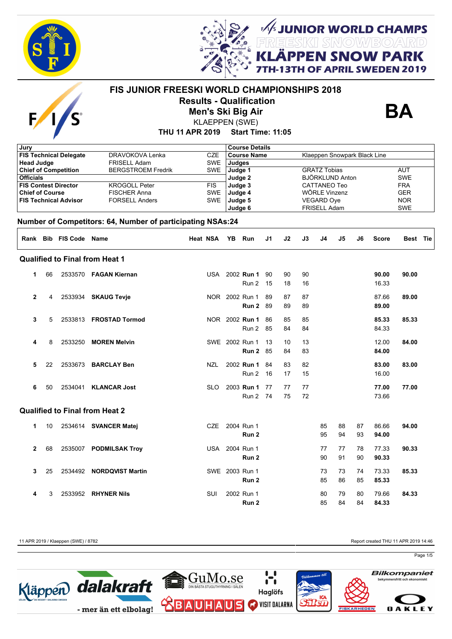



*,*<br>Kieski smow/board<br>Keeski smow/board **I SNOW PARK** 

**FAPRIL SWEDEN 2019** 



# **FIS JUNIOR FREESKI WORLD CHAMPIONSHIPS 2018 Results - Qualification**

**Men's Ski Big Air**



**THU 11 APR 2019 Start Time: 11:05** KLAEPPEN (SWE)

| Jury                   |                                                  |                              |                                                            |            |                                                    | <b>Course Details</b> |    |    |                     |                        |                     |                          |              |            |  |  |
|------------------------|--------------------------------------------------|------------------------------|------------------------------------------------------------|------------|----------------------------------------------------|-----------------------|----|----|---------------------|------------------------|---------------------|--------------------------|--------------|------------|--|--|
|                        | <b>FIS Technical Delegate</b><br>DRAVOKOVA Lenka |                              |                                                            | <b>CZE</b> | <b>Course Name</b><br>Klaeppen Snowpark Black Line |                       |    |    |                     |                        |                     |                          |              |            |  |  |
| <b>Head Judge</b>      |                                                  |                              | <b>FRISELL Adam</b>                                        | <b>SWE</b> | <b>Judges</b>                                      |                       |    |    |                     |                        |                     |                          |              |            |  |  |
|                        |                                                  | <b>Chief of Competition</b>  | <b>BERGSTROEM Fredrik</b>                                  | <b>SWE</b> |                                                    | Judge 1               |    |    | <b>GRATZ Tobias</b> | <b>AUT</b>             |                     |                          |              |            |  |  |
| <b>Officials</b>       |                                                  |                              |                                                            |            |                                                    | Judge 2               |    |    |                     | <b>BJÖRKLUND Anton</b> |                     |                          |              | <b>SWE</b> |  |  |
|                        |                                                  | <b>FIS Contest Director</b>  | <b>KROGOLL Peter</b>                                       |            | <b>FIS</b><br>Judge 3                              |                       |    |    |                     |                        | <b>CATTANEO Teo</b> |                          |              |            |  |  |
| <b>Chief of Course</b> |                                                  |                              | <b>FISCHER Anna</b>                                        | <b>SWE</b> |                                                    | Judge 4               |    |    |                     | WÖRLE Vinzenz          |                     | <b>GER</b><br><b>NOR</b> |              |            |  |  |
|                        |                                                  | <b>FIS Technical Advisor</b> | <b>FORSELL Anders</b>                                      | <b>SWE</b> |                                                    | Judge 5               |    |    |                     | VEGARD Oye             |                     |                          |              |            |  |  |
|                        |                                                  |                              |                                                            |            |                                                    | Judge 6               |    |    |                     | FRISELL Adam           |                     |                          |              | <b>SWE</b> |  |  |
|                        |                                                  |                              | Number of Competitors: 64, Number of participating NSAs:24 |            |                                                    |                       |    |    |                     |                        |                     |                          |              |            |  |  |
|                        |                                                  | Rank Bib FIS Code Name       |                                                            | Heat NSA   |                                                    | YB Run                | J1 | J2 | J3                  | J4                     | J5                  | J6                       | <b>Score</b> | Best Tie   |  |  |
|                        |                                                  |                              | <b>Qualified to Final from Heat 1</b>                      |            |                                                    |                       |    |    |                     |                        |                     |                          |              |            |  |  |
| 1                      | 66                                               |                              | 2533570 FAGAN Kiernan                                      |            |                                                    | USA 2002 Run 1        | 90 | 90 | 90                  |                        |                     |                          | 90.00        | 90.00      |  |  |
|                        |                                                  |                              |                                                            |            |                                                    | Run 2                 | 15 | 18 | 16                  |                        |                     |                          | 16.33        |            |  |  |
|                        |                                                  |                              |                                                            |            |                                                    |                       |    |    |                     |                        |                     |                          |              |            |  |  |
| $\mathbf 2$            | 4                                                |                              | 2533934 SKAUG Tevje                                        |            |                                                    | NOR 2002 Run 1        | 89 | 87 | 87                  |                        |                     |                          | 87.66        | 89.00      |  |  |
|                        |                                                  |                              |                                                            |            |                                                    | Run 2                 | 89 | 89 | 89                  |                        |                     |                          | 89.00        |            |  |  |
|                        |                                                  |                              |                                                            |            |                                                    |                       |    |    |                     |                        |                     |                          |              |            |  |  |
| 3                      | 5                                                | 2533813                      | <b>FROSTAD Tormod</b>                                      |            |                                                    | NOR 2002 Run 1        | 86 | 85 | 85                  |                        |                     |                          | 85.33        | 85.33      |  |  |
|                        |                                                  |                              |                                                            |            |                                                    | Run 2                 | 85 | 84 | 84                  |                        |                     |                          | 84.33        |            |  |  |
|                        |                                                  |                              |                                                            |            |                                                    |                       |    |    |                     |                        |                     |                          |              |            |  |  |
| 4                      | 8                                                | 2533250                      | <b>MOREN Melvin</b>                                        |            |                                                    | SWE 2002 Run 1        | 13 | 10 | 13                  |                        |                     |                          | 12.00        | 84.00      |  |  |
|                        |                                                  |                              |                                                            |            |                                                    | Run 2                 | 85 | 84 | 83                  |                        |                     |                          | 84.00        |            |  |  |
|                        |                                                  |                              |                                                            |            |                                                    |                       |    |    |                     |                        |                     |                          |              |            |  |  |
| 5                      | 22                                               | 2533673                      | <b>BARCLAY Ben</b>                                         | NZL        |                                                    | 2002 Run 1            | 84 | 83 | 82                  |                        |                     |                          | 83.00        | 83.00      |  |  |
|                        |                                                  |                              |                                                            |            |                                                    | Run 2                 | 16 | 17 | 15                  |                        |                     |                          | 16.00        |            |  |  |
| 6                      | 50                                               | 2534041                      | <b>KLANCAR Jost</b>                                        | <b>SLO</b> |                                                    | 2003 Run 1            | 77 | 77 | 77                  |                        |                     |                          | 77.00        | 77.00      |  |  |
|                        |                                                  |                              |                                                            |            |                                                    |                       |    |    |                     |                        |                     |                          |              |            |  |  |
|                        |                                                  |                              |                                                            |            |                                                    | Run 2 74              |    | 75 | 72                  |                        |                     |                          | 73.66        |            |  |  |
|                        |                                                  |                              | <b>Qualified to Final from Heat 2</b>                      |            |                                                    |                       |    |    |                     |                        |                     |                          |              |            |  |  |
| 1                      | 10                                               |                              | 2534614 SVANCER Matej                                      | CZE        |                                                    | 2004 Run 1            |    |    |                     | 85                     | 88                  | 87                       | 86.66        | 94.00      |  |  |
|                        |                                                  |                              |                                                            |            |                                                    | Run 2                 |    |    |                     | 95                     | 94                  | 93                       | 94.00        |            |  |  |
|                        |                                                  |                              |                                                            |            |                                                    |                       |    |    |                     |                        |                     |                          |              |            |  |  |
| $\mathbf{2}$           | 68                                               |                              | 2535007 PODMILSAK Troy                                     |            |                                                    | USA 2004 Run 1        |    |    |                     | 77                     | 77                  | 78                       | 77.33        | 90.33      |  |  |
|                        |                                                  |                              |                                                            |            |                                                    | Run 2                 |    |    |                     | 90                     | 91                  | 90                       | 90.33        |            |  |  |
|                        |                                                  |                              |                                                            |            |                                                    |                       |    |    |                     |                        |                     |                          |              |            |  |  |
| 3                      | 25                                               |                              | 2534492 NORDQVIST Martin                                   |            |                                                    | SWE 2003 Run 1        |    |    |                     | 73                     | 73                  | 74                       | 73.33        | 85.33      |  |  |
|                        |                                                  |                              |                                                            |            |                                                    | Run 2                 |    |    |                     | 85                     | 86                  | 85                       | 85.33        |            |  |  |
|                        |                                                  |                              |                                                            |            |                                                    |                       |    |    |                     |                        |                     |                          |              |            |  |  |
| 4                      | 3                                                | 2533952                      | <b>RHYNER Nils</b>                                         | SUI        |                                                    | 2002 Run 1            |    |    |                     | 80                     | 79                  | 80                       | 79.66        | 84.33      |  |  |
|                        |                                                  |                              |                                                            |            |                                                    | Run 2                 |    |    |                     | 85                     | 84                  | 84                       | 84.33        |            |  |  |

11 APR 2019 / Klaeppen (SWE) / 8782 Report created THU 11 APR 2019 14:46

Page 1/5

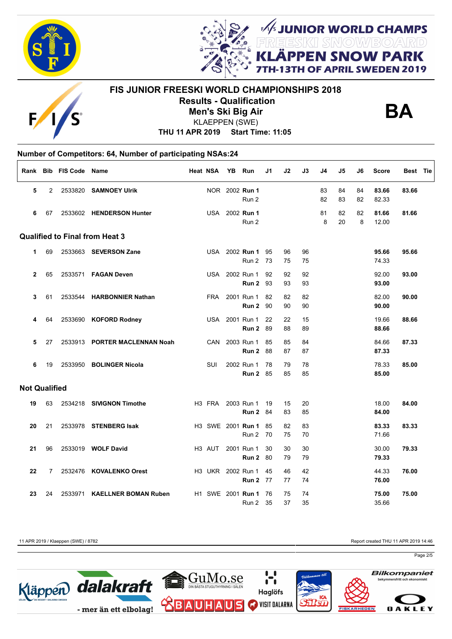



## **FIS JUNIOR FREESKI WORLD CHAMPIONSHIPS 2018 Results - Qualification Men's Ski Big Air** KLAEPPEN (SWE)



**FUNIOR WORLD CHAMPS<br>REESKI SNOWBOARD<br>LÄPPEN SNOW PARK** 

OF APRIL SWEDEN 2019

**THU 11 APR 2019 Start Time: 11:05**

## **Number of Competitors: 64, Number of participating NSAs:24**

|                      |    | Rank Bib FIS Code Name |                                       | Heat NSA           | YB | Run                           | J1       | J2       | J3       | J4       | J5       | J6       | <b>Score</b>   | Best Tie |  |
|----------------------|----|------------------------|---------------------------------------|--------------------|----|-------------------------------|----------|----------|----------|----------|----------|----------|----------------|----------|--|
| 5                    | 2  |                        | 2533820 SAMNOEY Ulrik                 |                    |    | NOR 2002 Run 1<br>Run 2       |          |          |          | 83<br>82 | 84<br>83 | 84<br>82 | 83.66<br>82.33 | 83.66    |  |
| 6                    | 67 |                        | 2533602 HENDERSON Hunter              |                    |    | USA 2002 Run 1<br>Run 2       |          |          |          | 81<br>8  | 82<br>20 | 82<br>8  | 81.66<br>12.00 | 81.66    |  |
|                      |    |                        | <b>Qualified to Final from Heat 3</b> |                    |    |                               |          |          |          |          |          |          |                |          |  |
| 1.                   | 69 |                        | 2533663 SEVERSON Zane                 | USA                |    | 2002 Run 1<br>Run 2           | 95<br>73 | 96<br>75 | 96<br>75 |          |          |          | 95.66<br>74.33 | 95.66    |  |
| $\overline{2}$       | 65 |                        | 2533571    FAGAN Deven                |                    |    | USA 2002 Run 1<br>Run 2       | 92<br>93 | 92<br>93 | 92<br>93 |          |          |          | 92.00<br>93.00 | 93.00    |  |
| 3                    | 61 |                        | 2533544 HARBONNIER Nathan             | FRA                |    | 2001 Run 1<br>Run 2           | 82<br>90 | 82<br>90 | 82<br>90 |          |          |          | 82.00<br>90.00 | 90.00    |  |
| 4                    | 64 |                        | 2533690 KOFORD Rodney                 |                    |    | USA 2001 Run 1<br>Run 2       | 22<br>89 | 22<br>88 | 15<br>89 |          |          |          | 19.66<br>88.66 | 88.66    |  |
| 5                    | 27 |                        | 2533913 PORTER MACLENNAN Noah         | <b>CAN</b>         |    | 2003 Run 1<br>Run 2           | 85<br>88 | 85<br>87 | 84<br>87 |          |          |          | 84.66<br>87.33 | 87.33    |  |
| 6                    | 19 |                        | 2533950 BOLINGER Nicola               | SUI                |    | 2002 Run 1<br><b>Run 2 85</b> | 78       | 79<br>85 | 78<br>85 |          |          |          | 78.33<br>85.00 | 85.00    |  |
| <b>Not Qualified</b> |    |                        |                                       |                    |    |                               |          |          |          |          |          |          |                |          |  |
| 19                   | 63 |                        | 2534218 SIVIGNON Timothe              | H3 FRA             |    | 2003 Run 1<br><b>Run 2</b> 84 | 19       | 15<br>83 | 20<br>85 |          |          |          | 18.00<br>84.00 | 84.00    |  |
| 20                   | 21 |                        | 2533978 STENBERG Isak                 |                    |    | H3 SWE 2001 Run 1<br>Run 2    | 85<br>70 | 82<br>75 | 83<br>70 |          |          |          | 83.33<br>71.66 | 83.33    |  |
| 21                   | 96 |                        | 2533019 WOLF David                    | H <sub>3</sub> AUT |    | 2001 Run 1<br>Run 2           | 30<br>80 | 30<br>79 | 30<br>79 |          |          |          | 30.00<br>79.33 | 79.33    |  |
| 22                   | 7  |                        | 2532476 KOVALENKO Orest               | H3 UKR 2002 Run 1  |    | <b>Run 2 77</b>               | 45       | 46<br>77 | 42<br>74 |          |          |          | 44.33<br>76.00 | 76.00    |  |
| 23                   | 24 | 2533971                | <b>KAELLNER BOMAN Ruben</b>           |                    |    | H1 SWE 2001 Run 1<br>Run 2    | 76<br>35 | 75<br>37 | 74<br>35 |          |          |          | 75.00<br>35.66 | 75.00    |  |

11 APR 2019 / Klaeppen (SWE) / 8782 Report created THU 11 APR 2019 14:46

Page 2/5

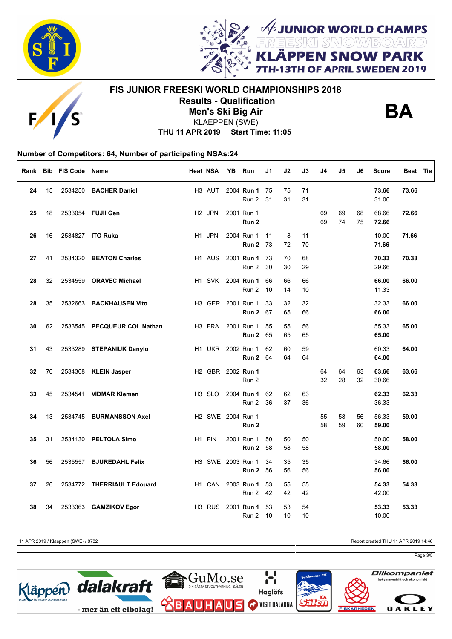



# **FIS JUNIOR FREESKI WORLD CHAMPIONSHIPS 2018 Results - Qualification Men's Ski Big Air**



**FUNIOR WORLD CHAMPS<br>REESKI SNOWBOARD<br>LÄPPEN SNOW PARK** 

OF APRIL SWEDEN 2019

**THU 11 APR 2019 Start Time: 11:05** KLAEPPEN (SWE)

# **Number of Competitors: 64, Number of participating NSAs:24**

| Rank |    | <b>Bib FIS Code</b> | Name                        | <b>Heat NSA</b>    | YB Run                                        | J1       | J2       | J3       | J4       | J5       | J6       | <b>Score</b>   | Best Tie |
|------|----|---------------------|-----------------------------|--------------------|-----------------------------------------------|----------|----------|----------|----------|----------|----------|----------------|----------|
| 24   | 15 | 2534250             | <b>BACHER Daniel</b>        | H <sub>3</sub> AUT | 2004 Run 1<br>Run 2                           | 75<br>31 | 75<br>31 | 71<br>31 |          |          |          | 73.66<br>31.00 | 73.66    |
| 25   | 18 |                     | 2533054 FUJII Gen           | H <sub>2</sub> JPN | 2001 Run 1<br>Run 2                           |          |          |          | 69<br>69 | 69<br>74 | 68<br>75 | 68.66<br>72.66 | 72.66    |
| 26   | 16 |                     | 2534827 ITO Ruka            | H <sub>1</sub> JPN | 2004 Run 1<br><b>Run 2 73</b>                 | 11       | 8<br>72  | 11<br>70 |          |          |          | 10.00<br>71.66 | 71.66    |
| 27   | 41 |                     | 2534320 BEATON Charles      | H <sub>1</sub> AUS | 2001 Run 1<br>Run 2                           | 73<br>30 | 70<br>30 | 68<br>29 |          |          |          | 70.33<br>29.66 | 70.33    |
| 28   | 32 |                     | 2534559 ORAVEC Michael      | H <sub>1</sub> SVK | 2004 Run 1<br>Run 2                           | 66<br>10 | 66<br>14 | 66<br>10 |          |          |          | 66.00<br>11.33 | 66.00    |
| 28   | 35 | 2532663             | <b>BACKHAUSEN Vito</b>      |                    | H3 GER 2001 Run 1<br>Run 2                    | 33<br>67 | 32<br>65 | 32<br>66 |          |          |          | 32.33<br>66.00 | 66.00    |
| 30   | 62 |                     | 2533545 PECQUEUR COL Nathan | H <sub>3</sub> FRA | 2001 Run 1<br>Run 2                           | 55<br>65 | 55<br>65 | 56<br>65 |          |          |          | 55.33<br>65.00 | 65.00    |
| 31   | 43 |                     | 2533289 STEPANIUK Danylo    |                    | H1 UKR 2002 Run 1<br><b>Run 2 64</b>          | 62       | 60<br>64 | 59<br>64 |          |          |          | 60.33<br>64.00 | 64.00    |
| 32   | 70 |                     | 2534308 KLEIN Jasper        |                    | H <sub>2</sub> GBR 2002 <b>Run 1</b><br>Run 2 |          |          |          | 64<br>32 | 64<br>28 | 63<br>32 | 63.66<br>30.66 | 63.66    |
| 33   | 45 | 2534541             | <b>VIDMAR Klemen</b>        | H <sub>3</sub> SLO | 2004 Run 1<br>Run 2                           | 62<br>36 | 62<br>37 | 63<br>36 |          |          |          | 62.33<br>36.33 | 62.33    |
| 34   | 13 |                     | 2534745 BURMANSSON Axel     |                    | H2 SWE 2004 Run 1<br>Run 2                    |          |          |          | 55<br>58 | 58<br>59 | 56<br>60 | 56.33<br>59.00 | 59.00    |
| 35   | 31 |                     | 2534130 PELTOLA Simo        | H1 FIN             | 2001 Run 1<br>Run 2                           | 50<br>58 | 50<br>58 | 50<br>58 |          |          |          | 50.00<br>58.00 | 58.00    |
| 36   | 56 |                     | 2535557 BJUREDAHL Felix     |                    | H3 SWE 2003 Run 1<br>Run 2                    | 34<br>56 | 35<br>56 | 35<br>56 |          |          |          | 34.66<br>56.00 | 56.00    |
| 37   | 26 |                     | 2534772 THERRIAULT Edouard  | H1 CAN             | 2003 Run 1<br>Run 2                           | 53<br>42 | 55<br>42 | 55<br>42 |          |          |          | 54.33<br>42.00 | 54.33    |
| 38   | 34 | 2533363             | <b>GAMZIKOV Egor</b>        | H <sub>3</sub> RUS | 2001 Run 1<br>Run 2                           | 53<br>10 | 53<br>10 | 54<br>10 |          |          |          | 53.33<br>10.00 | 53.33    |

11 APR 2019 / Klaeppen (SWE) / 8782 Report created THU 11 APR 2019 14:46

Page 3/5

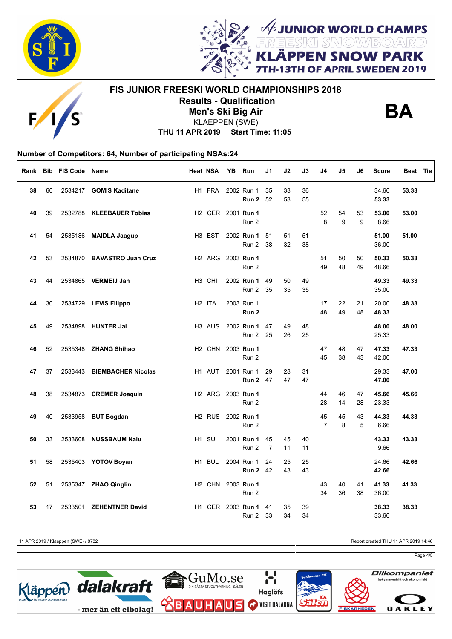



# **FIS JUNIOR FREESKI WORLD CHAMPIONSHIPS 2018 Results - Qualification Men's Ski Big Air**



**FUNIOR WORLD CHAMPS<br>REESKI SNOWBOARD<br>LÄPPEN SNOW PARK** 

OF APRIL SWEDEN 2019

**THU 11 APR 2019 Start Time: 11:05** KLAEPPEN (SWE)

### **Number of Competitors: 64, Number of participating NSAs:24**  $\Gamma$

| Rank |    | <b>Bib FIS Code Name</b> |                            | <b>Heat NSA</b>    | YB | Run                            | J1                   | J2       | J3       | J4                   | J5       | J6       | Score          | Best Tie |
|------|----|--------------------------|----------------------------|--------------------|----|--------------------------------|----------------------|----------|----------|----------------------|----------|----------|----------------|----------|
| 38   | 60 |                          | 2534217 GOMIS Kaditane     | H <sub>1</sub> FRA |    | 2002 Run 1<br>Run 2            | 35<br>52             | 33<br>53 | 36<br>55 |                      |          |          | 34.66<br>53.33 | 53.33    |
| 40   | 39 |                          | 2532788 KLEEBAUER Tobias   |                    |    | H2 GER 2001 Run 1<br>Run 2     |                      |          |          | 52<br>8              | 54<br>9  | 53<br>9  | 53.00<br>8.66  | 53.00    |
| 41   | 54 |                          | 2535186 MAIDLA Jaagup      | H <sub>3</sub> EST |    | 2002 Run 1<br>Run 2            | 51<br>38             | 51<br>32 | 51<br>38 |                      |          |          | 51.00<br>36.00 | 51.00    |
| 42   | 53 |                          | 2534870 BAVASTRO Juan Cruz | H <sub>2</sub> ARG |    | 2003 Run 1<br>Run 2            |                      |          |          | 51<br>49             | 50<br>48 | 50<br>49 | 50.33<br>48.66 | 50.33    |
| 43   | 44 |                          | 2534865 VERMEIJ Jan        | H <sub>3</sub> CHI |    | 2002 Run 1<br>Run 2            | 49<br>35             | 50<br>35 | 49<br>35 |                      |          |          | 49.33<br>35.00 | 49.33    |
| 44   | 30 |                          | 2534729 LEVIS Filippo      | H <sub>2</sub> ITA |    | 2003 Run 1<br>Run <sub>2</sub> |                      |          |          | 17<br>48             | 22<br>49 | 21<br>48 | 20.00<br>48.33 | 48.33    |
| 45   | 49 |                          | 2534898 HUNTER Jai         | H <sub>3</sub> AUS |    | 2002 Run 1<br>Run 2            | 47<br>25             | 49<br>26 | 48<br>25 |                      |          |          | 48.00<br>25.33 | 48.00    |
| 46   | 52 |                          | 2535348 ZHANG Shihao       | H <sub>2</sub> CHN |    | 2003 Run 1<br>Run 2            |                      |          |          | 47<br>45             | 48<br>38 | 47<br>43 | 47.33<br>42.00 | 47.33    |
| 47   | 37 |                          | 2533443 BIEMBACHER Nicolas | H1 AUT             |    | 2001 Run 1<br><b>Run 2</b> 47  | 29                   | 28<br>47 | 31<br>47 |                      |          |          | 29.33<br>47.00 | 47.00    |
| 48   | 38 |                          | 2534873 CREMER Joaquin     | H <sub>2</sub> ARG |    | 2003 Run 1<br>Run 2            |                      |          |          | 44<br>28             | 46<br>14 | 47<br>28 | 45.66<br>23.33 | 45.66    |
| 49   | 40 |                          | 2533958 BUT Bogdan         | H <sub>2</sub> RUS |    | 2002 Run 1<br>Run 2            |                      |          |          | 45<br>$\overline{7}$ | 45<br>8  | 43<br>5  | 44.33<br>6.66  | 44.33    |
| 50   | 33 |                          | 2533608 NUSSBAUM Nalu      | H1 SUI             |    | 2001 Run 1<br>Run 2            | 45<br>$\overline{7}$ | 45<br>11 | 40<br>11 |                      |          |          | 43.33<br>9.66  | 43.33    |
| 51   | 58 |                          | 2535403 YOTOV Boyan        | H1 BUL             |    | 2004 Run 1<br><b>Run 2</b> 42  | 24                   | 25<br>43 | 25<br>43 |                      |          |          | 24.66<br>42.66 | 42.66    |
| 52   | 51 |                          | 2535347 ZHAO Qinglin       | H <sub>2</sub> CHN |    | 2003 Run 1<br>Run 2            |                      |          |          | 43<br>34             | 40<br>36 | 41<br>38 | 41.33<br>36.00 | 41.33    |
| 53   | 17 | 2533501                  | <b>ZEHENTNER David</b>     |                    |    | H1 GER 2003 Run 1<br>Run 2     | 41<br>33             | 35<br>34 | 39<br>34 |                      |          |          | 38.33<br>33.66 | 38.33    |

11 APR 2019 / Klaeppen (SWE) / 8782 Report created THU 11 APR 2019 14:46

Page 4/5